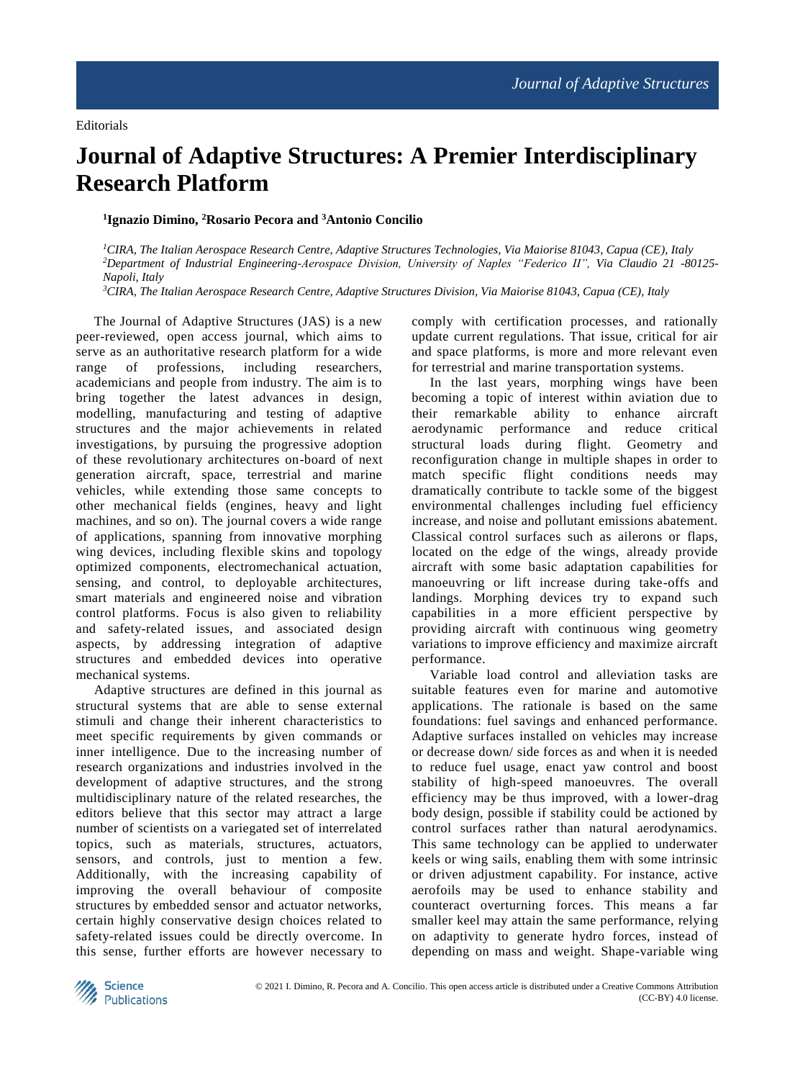## **Journal of Adaptive Structures: A Premier Interdisciplinary Research Platform**

## **1 Ignazio Dimino, <sup>2</sup>Rosario Pecora and <sup>3</sup>Antonio Concilio**

*<sup>1</sup>CIRA, The Italian Aerospace Research Centre, Adaptive Structures Technologies, Via Maiorise 81043, Capua (CE), Italy <sup>2</sup>Department of Industrial Engineering-Aerospace Division, University of Naples "Federico II", Via Claudio 21 -80125- Napoli, Italy*

*<sup>3</sup>CIRA, The Italian Aerospace Research Centre, Adaptive Structures Division, Via Maiorise 81043, Capua (CE), Italy*

The Journal of Adaptive Structures (JAS) is a new peer-reviewed, open access journal, which aims to serve as an authoritative research platform for a wide range of professions, including researchers, academicians and people from industry. The aim is to bring together the latest advances in design, modelling, manufacturing and testing of adaptive structures and the major achievements in related investigations, by pursuing the progressive adoption of these revolutionary architectures on-board of next generation aircraft, space, terrestrial and marine vehicles, while extending those same concepts to other mechanical fields (engines, heavy and light machines, and so on). The journal covers a wide range of applications, spanning from innovative morphing wing devices, including flexible skins and topology optimized components, electromechanical actuation, sensing, and control, to deployable architectures, smart materials and engineered noise and vibration control platforms. Focus is also given to reliability and safety-related issues, and associated design aspects, by addressing integration of adaptive structures and embedded devices into operative mechanical systems.

Adaptive structures are defined in this journal as structural systems that are able to sense external stimuli and change their inherent characteristics to meet specific requirements by given commands or inner intelligence. Due to the increasing number of research organizations and industries involved in the development of adaptive structures, and the strong multidisciplinary nature of the related researches, the editors believe that this sector may attract a large number of scientists on a variegated set of interrelated topics, such as materials, structures, actuators, sensors, and controls, just to mention a few. Additionally, with the increasing capability of improving the overall behaviour of composite structures by embedded sensor and actuator networks, certain highly conservative design choices related to safety-related issues could be directly overcome. In this sense, further efforts are however necessary to

comply with certification processes, and rationally update current regulations. That issue, critical for air and space platforms, is more and more relevant even for terrestrial and marine transportation systems.

In the last years, morphing wings have been becoming a topic of interest within aviation due to their remarkable ability to enhance aircraft aerodynamic performance and reduce critical structural loads during flight. Geometry and reconfiguration change in multiple shapes in order to match specific flight conditions needs may dramatically contribute to tackle some of the biggest environmental challenges including fuel efficiency increase, and noise and pollutant emissions abatement. Classical control surfaces such as ailerons or flaps, located on the edge of the wings, already provide aircraft with some basic adaptation capabilities for manoeuvring or lift increase during take-offs and landings. Morphing devices try to expand such capabilities in a more efficient perspective by providing aircraft with continuous wing geometry variations to improve efficiency and maximize aircraft performance.

Variable load control and alleviation tasks are suitable features even for marine and automotive applications. The rationale is based on the same foundations: fuel savings and enhanced performance. Adaptive surfaces installed on vehicles may increase or decrease down/ side forces as and when it is needed to reduce fuel usage, enact yaw control and boost stability of high-speed manoeuvres. The overall efficiency may be thus improved, with a lower-drag body design, possible if stability could be actioned by control surfaces rather than natural aerodynamics. This same technology can be applied to underwater keels or wing sails, enabling them with some intrinsic or driven adjustment capability. For instance, active aerofoils may be used to enhance stability and counteract overturning forces. This means a far smaller keel may attain the same performance, relying on adaptivity to generate hydro forces, instead of depending on mass and weight. Shape-variable wing